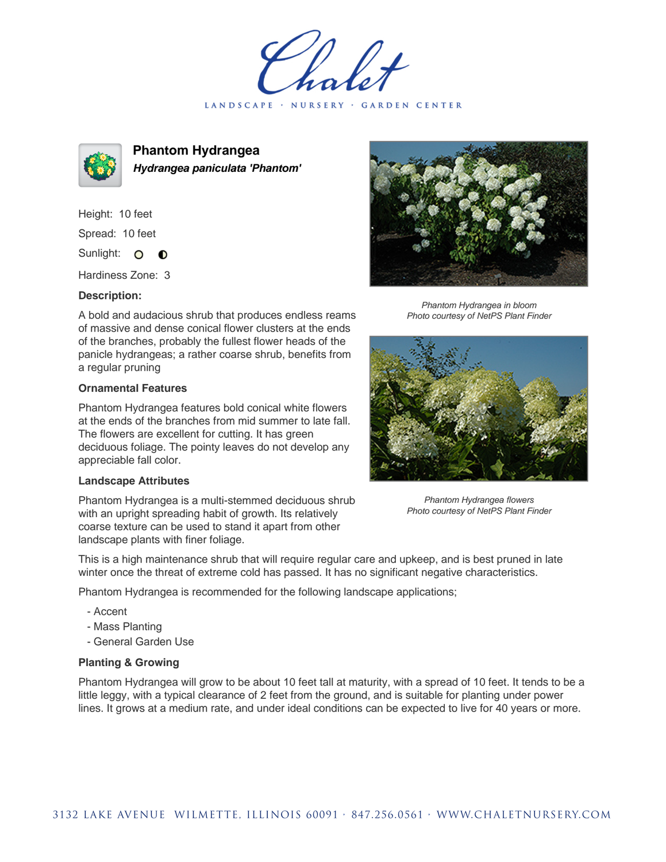LANDSCAPE · NURSERY · GARDEN CENTER



**Phantom Hydrangea Hydrangea paniculata 'Phantom'**

Height: 10 feet Spread: 10 feet Sunlight: O  $\bullet$ 

Hardiness Zone: 3

## **Description:**

A bold and audacious shrub that produces endless reams of massive and dense conical flower clusters at the ends of the branches, probably the fullest flower heads of the panicle hydrangeas; a rather coarse shrub, benefits from a regular pruning

## **Ornamental Features**

Phantom Hydrangea features bold conical white flowers at the ends of the branches from mid summer to late fall. The flowers are excellent for cutting. It has green deciduous foliage. The pointy leaves do not develop any appreciable fall color.

## **Landscape Attributes**

Phantom Hydrangea is a multi-stemmed deciduous shrub with an upright spreading habit of growth. Its relatively coarse texture can be used to stand it apart from other landscape plants with finer foliage.



Phantom Hydrangea in bloom Photo courtesy of NetPS Plant Finder



Phantom Hydrangea flowers Photo courtesy of NetPS Plant Finder

This is a high maintenance shrub that will require regular care and upkeep, and is best pruned in late winter once the threat of extreme cold has passed. It has no significant negative characteristics.

Phantom Hydrangea is recommended for the following landscape applications;

- Accent
- Mass Planting
- General Garden Use

## **Planting & Growing**

Phantom Hydrangea will grow to be about 10 feet tall at maturity, with a spread of 10 feet. It tends to be a little leggy, with a typical clearance of 2 feet from the ground, and is suitable for planting under power lines. It grows at a medium rate, and under ideal conditions can be expected to live for 40 years or more.